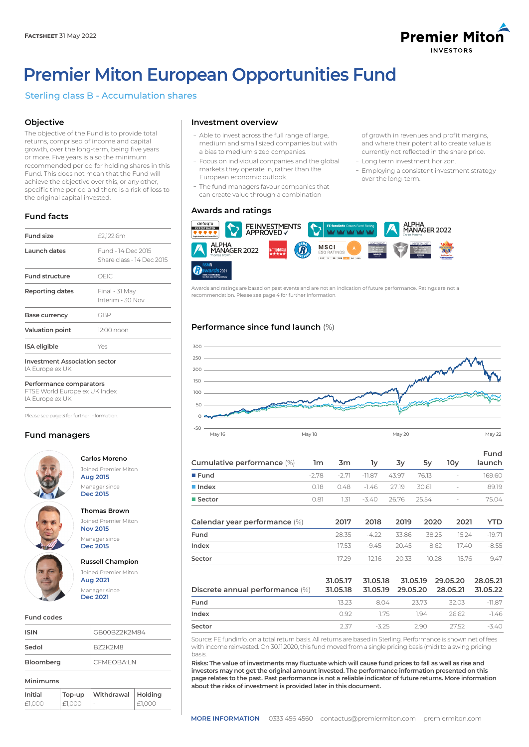

of growth in revenues and profit margins, and where their potential to create value is currently not reflected in the share price.

- Employing a consistent investment strategy

- Long term investment horizon.

over the long-term.

# **Premier Miton European Opportunities Fund**

# Sterling class B - Accumulation shares

# **Objective**

The objective of the Fund is to provide total returns, comprised of income and capital growth, over the long-term, being five years or more. Five years is also the minimum recommended period for holding shares in this Fund. This does not mean that the Fund will achieve the objective over this, or any other, specific time period and there is a risk of loss to the original capital invested.

# **Fund facts**

| <b>Fund size</b>                                        | £2,122.6m                                       |
|---------------------------------------------------------|-------------------------------------------------|
| Launch dates                                            | Fund - 14 Dec 2015<br>Share class - 14 Dec 2015 |
| <b>Fund structure</b>                                   | OEIC                                            |
| Reporting dates                                         | Final - 31 May<br>Interim - 30 Nov              |
| Base currency                                           | GBP                                             |
| <b>Valuation point</b>                                  | 12:00 noon                                      |
| ISA eligible                                            | Yes                                             |
| <b>Investment Association sector</b><br>IA Europe ex UK |                                                 |

**Performance comparators** FTSE World Europe ex UK Index

IA Europe ex UK

Please see page 3 for further information.

## **Fund managers**



**Carlos Moreno** Joined Premier Miton **Aug 2015**

# **Thomas Brown**

Manager since **Dec 2015**

Joined Premier Miton **Nov 2015**

Manager since **Dec 2015**

## **Russell Champion**

#### Joined Premier Miton **Aug 2021** Manager since **Dec 2021**

#### **Fund codes**

| <b>ISIN</b> | GB00B72K2M84 |
|-------------|--------------|
| Sedol       | B72K2M8      |
| Bloomberg   | CFMEOBA:LN   |
| Minimums    |              |

| Initial | Top-up | Withdrawal | Holdina |
|---------|--------|------------|---------|
| £1.000  | £1.000 | ÷          | £1.000  |

## **Investment overview**

- Able to invest across the full range of large, medium and small sized companies but with a bias to medium sized companies.
- Focus on individual companies and the global markets they operate in, rather than the European economic outlook.
- The fund managers favour companies that can create value through a combination

## **Awards and ratings**



Awards and ratings are based on past events and are not an indication of future performance. Ratings are not a recommendation. Please see page 4 for further information.

# **Performance since fund launch** (%)



| Cumulative performance (%)      | 1m      | 3m                   | lу                   | 3y       | 5y       | 10 <sub>y</sub>      | Fund<br>launch       |
|---------------------------------|---------|----------------------|----------------------|----------|----------|----------------------|----------------------|
| Fund                            | $-2.78$ | $-2.71$              | $-11.87$             | 43.97    | 76.13    |                      | 169.60               |
| $\blacksquare$ Index            | 0.18    | 0.48                 | $-1.46$              | 27.19    | 30.61    |                      | 89.19                |
| ■ Sector                        | 0.81    | 1.31                 | $-3.40$              | 26.76    | 25.54    |                      | 75.04                |
| Calendar year performance (%)   |         | 2017                 | 2018                 | 2019     | 2020     | 2021                 | YTD                  |
| Fund                            |         | 28.35                | $-4.22$              | 33.86    | 38.25    | 15.24                | $-19.71$             |
| Index                           |         | 17.53                | $-9.45$              | 20.45    | 8.62     | 17.40                | $-8.55$              |
| Sector                          |         | 17.29                | $-12.16$             | 20.33    | 10.28    | 15.76                | $-9.47$              |
| Discrete annual performance (%) |         | 31.05.17<br>31.05.18 | 31.05.18<br>31.05.19 | 29.05.20 | 31.05.19 | 29.05.20<br>28.05.21 | 28.05.21<br>31.05.22 |
| Fund                            |         | 13.23                | 8.04                 |          | 23.73    | 32.03                | $-11.87$             |
| Index                           |         | 0.92                 | 1.75                 |          | 1.94     | 26.62                | $-1.46$              |
| Sector                          |         | 2.37                 | $-3.25$              |          | 2.90     | 27.52                | $-3.40$              |

Source: FE fundinfo, on a total return basis. All returns are based in Sterling. Performance is shown net of fees with income reinvested. On 30.11.2020, this fund moved from a single pricing basis (mid) to a swing pricing basis.

**Risks: The value of investments may fluctuate which will cause fund prices to fall as well as rise and investors may not get the original amount invested. The performance information presented on this page relates to the past. Past performance is not a reliable indicator of future returns. More information about the risks of investment is provided later in this document.**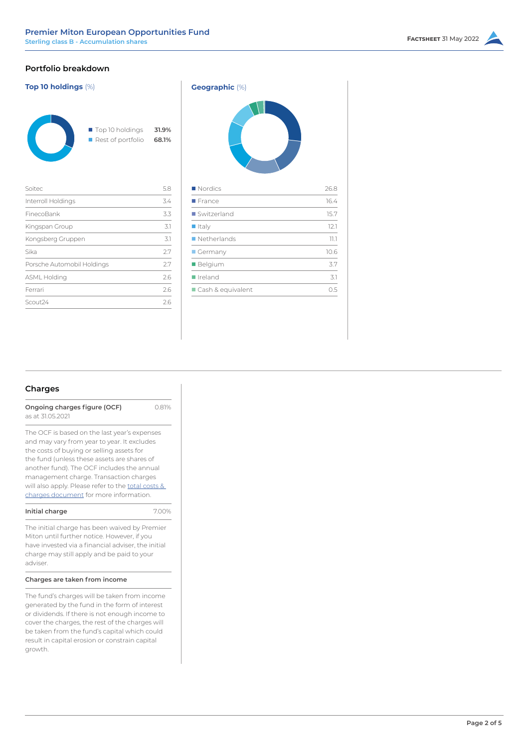# **Portfolio breakdown**

| <b>Top 10 holdings (%)</b> |                                                          | <b>Geographic</b> (%)  |
|----------------------------|----------------------------------------------------------|------------------------|
|                            | ■ Top 10 holdings<br>31.9%<br>Rest of portfolio<br>68.1% |                        |
| Soitec                     | 5.8                                                      | $\blacksquare$ Nordics |
| Interroll Holdings         | 3.4                                                      | $\blacksquare$ France  |
| FinecoBank                 | 3.3                                                      | Switzerland            |
| Kingspan Group             | 3.1                                                      | $\blacksquare$ Italy   |
| Kongsberg Gruppen          | 3.1                                                      | Netherlands            |
| Sika                       | 2.7                                                      | ■ Germany              |
| Porsche Automobil Holdings | 2.7                                                      | ■ Belgium              |
| ASML Holding               | 2.6                                                      | $I$ Ireland            |
| Ferrari                    | 2.6                                                      | Cash & equivale        |
| Scout24                    | 2.6                                                      |                        |
|                            |                                                          |                        |

| Geographic (%)    |      |  |  |
|-------------------|------|--|--|
|                   |      |  |  |
| Nordics           | 26.8 |  |  |
| <b>France</b>     | 16.4 |  |  |
| Switzerland       | 15.7 |  |  |
| I Italy           | 12.1 |  |  |
| Netherlands       | 77.7 |  |  |
| Germany           | 10.6 |  |  |
| Belgium           | 3.7  |  |  |
| Ireland           | 3.1  |  |  |
| Cash & equivalent | 0.5  |  |  |
|                   |      |  |  |

# **Charges**

**Ongoing charges figure (OCF)** 0.81% as at 31.05.2021

The OCF is based on the last year's expenses and may vary from year to year. It excludes the costs of buying or selling assets for the fund (unless these assets are shares of another fund). The OCF includes the annual management charge. Transaction charges will also apply. Please refer to the total costs & [charges document](https://corporate-premiermiton.huguenots.co.uk///srp///documents-id///cc3181fa-6363-43b1-9473-69468f7d177b///Totalcostsandcharges.pdf) for more information.

The initial charge has been waived by Premier Miton until further notice. However, if you have invested via a financial adviser, the initial charge may still apply and be paid to your adviser.

## **Charges are taken from income**

The fund's charges will be taken from income generated by the fund in the form of interest or dividends. If there is not enough income to cover the charges, the rest of the charges will be taken from the fund's capital which could result in capital erosion or constrain capital growth.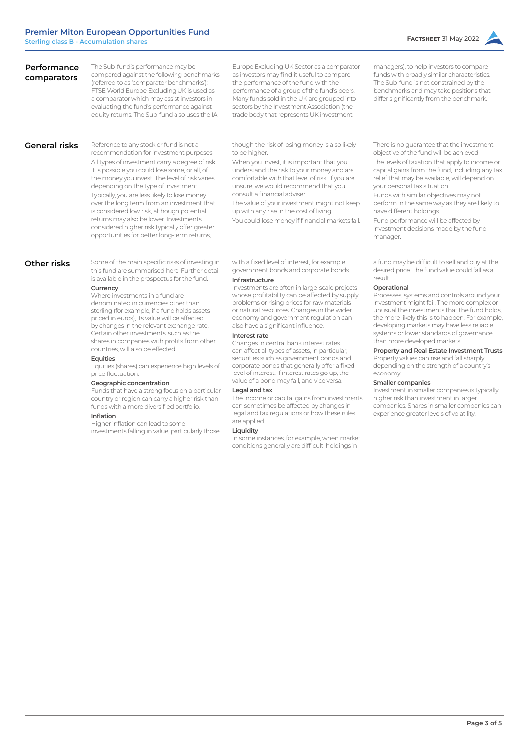shares in companies with profits from other

Equities (shares) can experience high levels of

Funds that have a strong focus on a particular country or region can carry a higher risk than funds with a more diversified portfolio.

investments falling in value, particularly those

countries, will also be effected.

**Geographic concentration**

Higher inflation can lead to some

**Equities**

**Inflation**

price fluctuation.



### **Interest rate**

Changes in central bank interest rates can affect all types of assets, in particular, securities such as government bonds and corporate bonds that generally offer a fixed level of interest. If interest rates go up, the value of a bond may fall, and vice versa.

#### **Legal and tax**

The income or capital gains from investments can sometimes be affected by changes in legal and tax regulations or how these rules are applied.

#### **Liquidity**

In some instances, for example, when market conditions generally are difficult, holdings in

systems or lower standards of governance than more developed markets.

## **Property and Real Estate Investment Trusts**

Property values can rise and fall sharply depending on the strength of a country's economy.

### **Smaller companies**

Investment in smaller companies is typically higher risk than investment in larger companies. Shares in smaller companies can experience greater levels of volatility.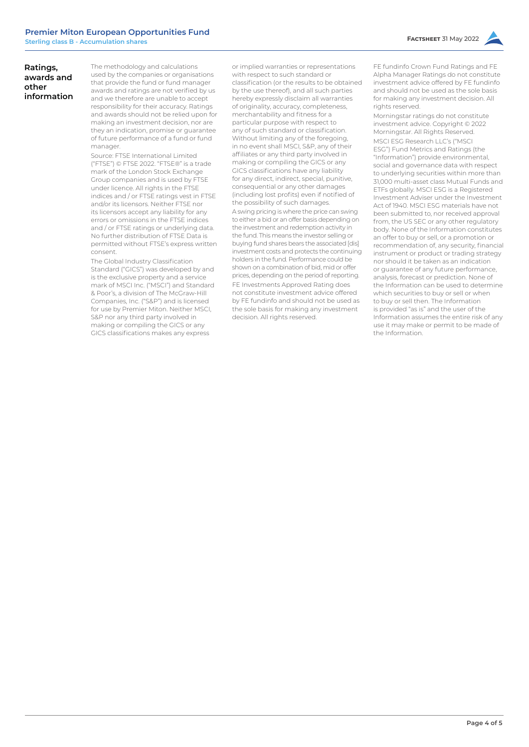## **Ratings, awards and other information**

The methodology and calculations used by the companies or organisations that provide the fund or fund manager awards and ratings are not verified by us and we therefore are unable to accept responsibility for their accuracy. Ratings and awards should not be relied upon for making an investment decision, nor are they an indication, promise or guarantee of future performance of a fund or fund manager.

Source: FTSE International Limited ("FTSE") © FTSE 2022. "FTSE®" is a trade mark of the London Stock Exchange Group companies and is used by FTSE under licence. All rights in the FTSE indices and / or FTSE ratings vest in FTSE and/or its licensors. Neither FTSE nor its licensors accept any liability for any errors or omissions in the FTSE indices and / or FTSE ratings or underlying data. No further distribution of FTSE Data is permitted without FTSE's express written consent.

The Global Industry Classification Standard ("GICS") was developed by and is the exclusive property and a service mark of MSCI Inc. ("MSCI") and Standard & Poor's, a division of The McGraw-Hill Companies, Inc. ("S&P") and is licensed for use by Premier Miton. Neither MSCI, S&P nor any third party involved in making or compiling the GICS or any GICS classifications makes any express

or implied warranties or representations with respect to such standard or classification (or the results to be obtained by the use thereof), and all such parties hereby expressly disclaim all warranties of originality, accuracy, completeness, merchantability and fitness for a particular purpose with respect to any of such standard or classification. Without limiting any of the foregoing, in no event shall MSCI, S&P, any of their affiliates or any third party involved in making or compiling the GICS or any GICS classifications have any liability for any direct, indirect, special, punitive, consequential or any other damages (including lost profits) even if notified of the possibility of such damages. A swing pricing is where the price can swing to either a bid or an offer basis depending on the investment and redemption activity in the fund. This means the investor selling or buying fund shares bears the associated [dis] investment costs and protects the continuing holders in the fund. Performance could be shown on a combination of bid, mid or offer prices, depending on the period of reporting. FE Investments Approved Rating does not constitute investment advice offered by FE fundinfo and should not be used as the sole basis for making any investment decision. All rights reserved.

FE fundinfo Crown Fund Ratings and FE Alpha Manager Ratings do not constitute investment advice offered by FE fundinfo and should not be used as the sole basis for making any investment decision. All rights reserved.

Morningstar ratings do not constitute investment advice. Copyright © 2022 Morningstar. All Rights Reserved. MSCI ESG Research LLC's ("MSCI ESG") Fund Metrics and Ratings (the "Information") provide environmental, social and governance data with respect to underlying securities within more than 31,000 multi-asset class Mutual Funds and ETFs globally. MSCI ESG is a Registered Investment Adviser under the Investment Act of 1940. MSCI ESG materials have not been submitted to, nor received approval from, the US SEC or any other regulatory body. None of the Information constitutes an offer to buy or sell, or a promotion or recommendation of, any security, financial instrument or product or trading strategy nor should it be taken as an indication or guarantee of any future performance, analysis, forecast or prediction. None of the Information can be used to determine which securities to buy or sell or when to buy or sell then. The Information is provided "as is" and the user of the Information assumes the entire risk of any use it may make or permit to be made of the Information.